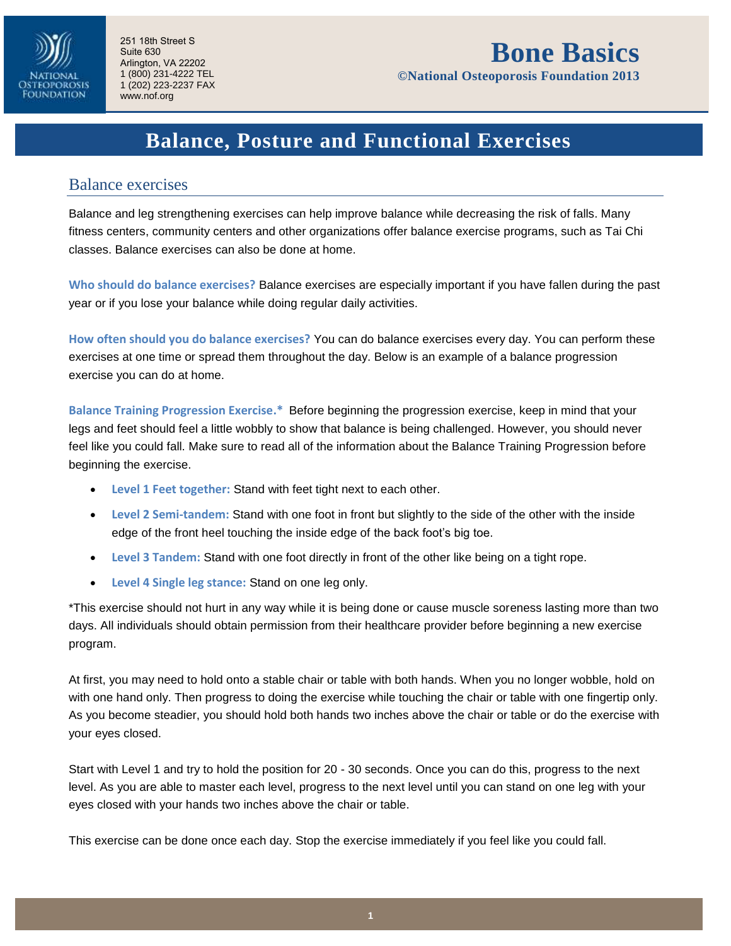

**©National Osteoporosis Foundation 2013** 

## **Balance, Posture and Functional Exercises**

#### Balance exercises

Balance and leg strengthening exercises can help improve balance while decreasing the risk of falls. Many fitness centers, community centers and other organizations offer balance exercise programs, such as Tai Chi classes. Balance exercises can also be done at home.

**Who should do balance exercises?** Balance exercises are especially important if you have fallen during the past year or if you lose your balance while doing regular daily activities.

**How often should you do balance exercises?** You can do balance exercises every day. You can perform these exercises at one time or spread them throughout the day. Below is an example of a balance progression exercise you can do at home.

**Balance Training Progression Exercise.\*** Before beginning the progression exercise, keep in mind that your legs and feet should feel a little wobbly to show that balance is being challenged. However, you should never feel like you could fall. Make sure to read all of the information about the Balance Training Progression before beginning the exercise.

- **Level 1 Feet together:** Stand with feet tight next to each other.
- **Level 2 Semi-tandem:** Stand with one foot in front but slightly to the side of the other with the inside edge of the front heel touching the inside edge of the back foot's big toe.
- **Level 3 Tandem:** Stand with one foot directly in front of the other like being on a tight rope.
- **Level 4 Single leg stance:** Stand on one leg only.

\*This exercise should not hurt in any way while it is being done or cause muscle soreness lasting more than two days. All individuals should obtain permission from their healthcare provider before beginning a new exercise program.

At first, you may need to hold onto a stable chair or table with both hands. When you no longer wobble, hold on with one hand only. Then progress to doing the exercise while touching the chair or table with one fingertip only. As you become steadier, you should hold both hands two inches above the chair or table or do the exercise with your eyes closed.

Start with Level 1 and try to hold the position for 20 - 30 seconds. Once you can do this, progress to the next level. As you are able to master each level, progress to the next level until you can stand on one leg with your eyes closed with your hands two inches above the chair or table.

This exercise can be done once each day. Stop the exercise immediately if you feel like you could fall.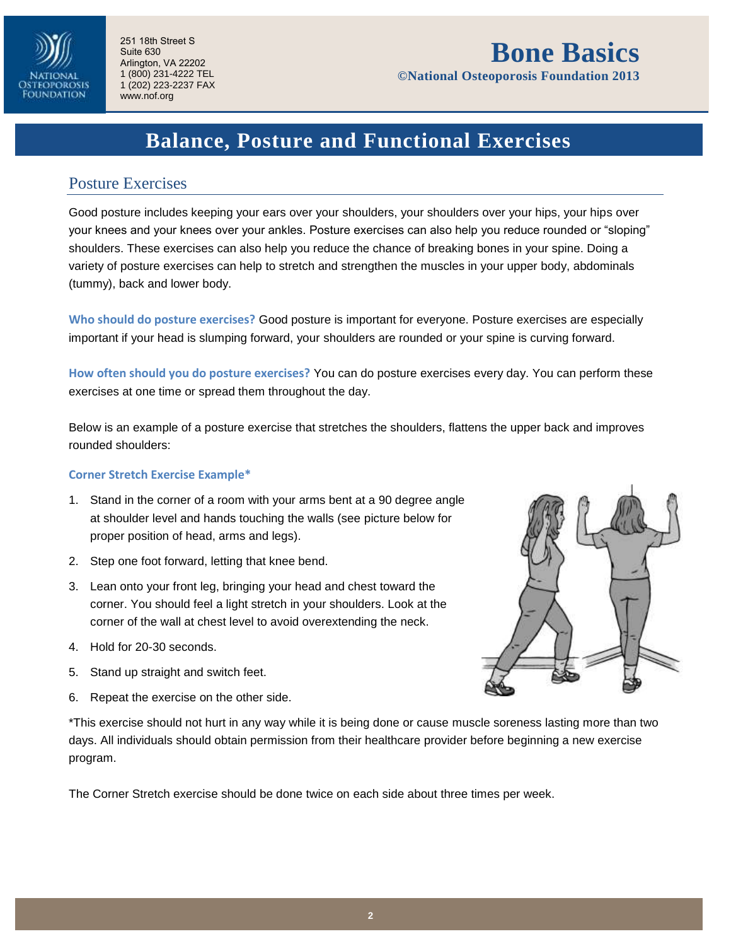

# **Bone Basics**

**©National Osteoporosis Foundation 2013** 

# **Balance, Posture and Functional Exercises**

### Posture Exercises

Good posture includes keeping your ears over your shoulders, your shoulders over your hips, your hips over your knees and your knees over your ankles. Posture exercises can also help you reduce rounded or "sloping" shoulders. These exercises can also help you reduce the chance of breaking bones in your spine. Doing a variety of posture exercises can help to stretch and strengthen the muscles in your upper body, abdominals (tummy), back and lower body.

**Who should do posture exercises?** Good posture is important for everyone. Posture exercises are especially important if your head is slumping forward, your shoulders are rounded or your spine is curving forward.

**How often should you do posture exercises?** You can do posture exercises every day. You can perform these exercises at one time or spread them throughout the day.

Below is an example of a posture exercise that stretches the shoulders, flattens the upper back and improves rounded shoulders:

#### **Corner Stretch Exercise Example\***

- 1. Stand in the corner of a room with your arms bent at a 90 degree angle at shoulder level and hands touching the walls (see picture below for proper position of head, arms and legs).
- 2. Step one foot forward, letting that knee bend.
- 3. Lean onto your front leg, bringing your head and chest toward the corner. You should feel a light stretch in your shoulders. Look at the corner of the wall at chest level to avoid overextending the neck.
- 4. Hold for 20-30 seconds.
- 5. Stand up straight and switch feet.
- 6. Repeat the exercise on the other side.



\*This exercise should not hurt in any way while it is being done or cause muscle soreness lasting more than two days. All individuals should obtain permission from their healthcare provider before beginning a new exercise program.

The Corner Stretch exercise should be done twice on each side about three times per week.